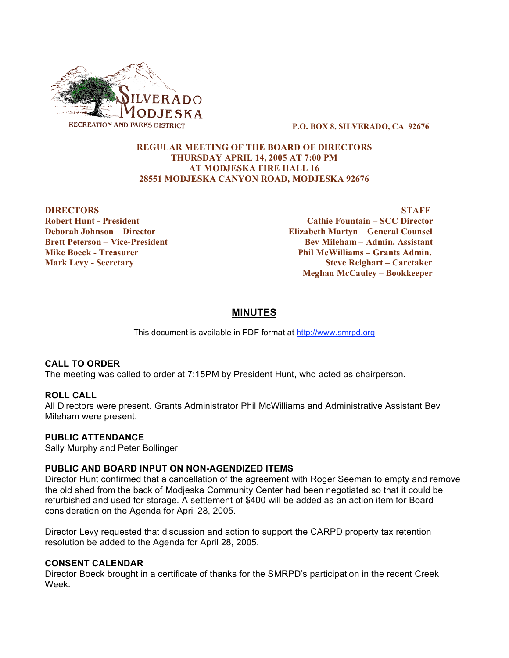

**P.O. BOX 8, SILVERADO, CA 92676**

### **REGULAR MEETING OF THE BOARD OF DIRECTORS THURSDAY APRIL 14, 2005 AT 7:00 PM AT MODJESKA FIRE HALL 16 28551 MODJESKA CANYON ROAD, MODJESKA 92676**

**DIRECTORS STAFF**<br> **Robert Hunt - President STAFF**<br> **STAFF**<br> **Cathie Fountain – SCC Director Robertz Robertz Cathie Fountain** – **SCC Director Deborah Johnson – Director Elizabeth Martyn – General Counsel Brett Peterson – Vice-President Bev Mileham – Admin. Assistant Mike Boeck - Treasurer Phil McWilliams – Grants Admin. Mark Levy - Secretary Steve Reighart – Caretaker Meghan McCauley – Bookkeeper**

# **MINUTES**

 $\overline{\phantom{a}}$  , and the contribution of the contribution of the contribution of the contribution of the contribution of the contribution of the contribution of the contribution of the contribution of the contribution of the

This document is available in PDF format at http://www.smrpd.org

## **CALL TO ORDER**

The meeting was called to order at 7:15PM by President Hunt, who acted as chairperson.

## **ROLL CALL**

All Directors were present. Grants Administrator Phil McWilliams and Administrative Assistant Bev Mileham were present.

#### **PUBLIC ATTENDANCE**

Sally Murphy and Peter Bollinger

## **PUBLIC AND BOARD INPUT ON NON-AGENDIZED ITEMS**

Director Hunt confirmed that a cancellation of the agreement with Roger Seeman to empty and remove the old shed from the back of Modjeska Community Center had been negotiated so that it could be refurbished and used for storage. A settlement of \$400 will be added as an action item for Board consideration on the Agenda for April 28, 2005.

Director Levy requested that discussion and action to support the CARPD property tax retention resolution be added to the Agenda for April 28, 2005.

#### **CONSENT CALENDAR**

Director Boeck brought in a certificate of thanks for the SMRPD's participation in the recent Creek Week.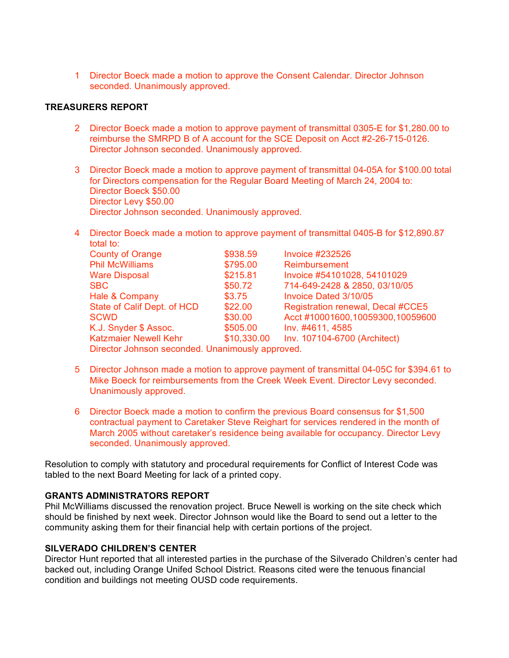1 Director Boeck made a motion to approve the Consent Calendar. Director Johnson seconded. Unanimously approved.

### **TREASURERS REPORT**

- 2 Director Boeck made a motion to approve payment of transmittal 0305-E for \$1,280.00 to reimburse the SMRPD B of A account for the SCE Deposit on Acct #2-26-715-0126. Director Johnson seconded. Unanimously approved.
- 3 Director Boeck made a motion to approve payment of transmittal 04-05A for \$100.00 total for Directors compensation for the Regular Board Meeting of March 24, 2004 to: Director Boeck \$50.00 Director Levy \$50.00 Director Johnson seconded. Unanimously approved.
- 4 Director Boeck made a motion to approve payment of transmittal 0405-B for \$12,890.87 total to:

| <b>County of Orange</b>                          | \$938.59    | <b>Invoice #232526</b>            |
|--------------------------------------------------|-------------|-----------------------------------|
| <b>Phil McWilliams</b>                           | \$795.00    | Reimbursement                     |
| <b>Ware Disposal</b>                             | \$215.81    | Invoice #54101028, 54101029       |
| <b>SBC</b>                                       | \$50.72     | 714-649-2428 & 2850, 03/10/05     |
| Hale & Company                                   | \$3.75      | Invoice Dated 3/10/05             |
| State of Calif Dept. of HCD                      | \$22.00     | Registration renewal, Decal #CCE5 |
| <b>SCWD</b>                                      | \$30.00     | Acct #10001600,10059300,10059600  |
| K.J. Snyder \$ Assoc.                            | \$505.00    | Inv. #4611, 4585                  |
| <b>Katzmaier Newell Kehr</b>                     | \$10,330.00 | Inv. 107104-6700 (Architect)      |
| Director Johnson seconded. Unanimously approved. |             |                                   |

- 5 Director Johnson made a motion to approve payment of transmittal 04-05C for \$394.61 to Mike Boeck for reimbursements from the Creek Week Event. Director Levy seconded. Unanimously approved.
- 6 Director Boeck made a motion to confirm the previous Board consensus for \$1,500 contractual payment to Caretaker Steve Reighart for services rendered in the month of March 2005 without caretaker's residence being available for occupancy. Director Levy seconded. Unanimously approved.

Resolution to comply with statutory and procedural requirements for Conflict of Interest Code was tabled to the next Board Meeting for lack of a printed copy.

#### **GRANTS ADMINISTRATORS REPORT**

Phil McWilliams discussed the renovation project. Bruce Newell is working on the site check which should be finished by next week. Director Johnson would like the Board to send out a letter to the community asking them for their financial help with certain portions of the project.

## **SILVERADO CHILDREN'S CENTER**

Director Hunt reported that all interested parties in the purchase of the Silverado Children's center had backed out, including Orange Unifed School District. Reasons cited were the tenuous financial condition and buildings not meeting OUSD code requirements.